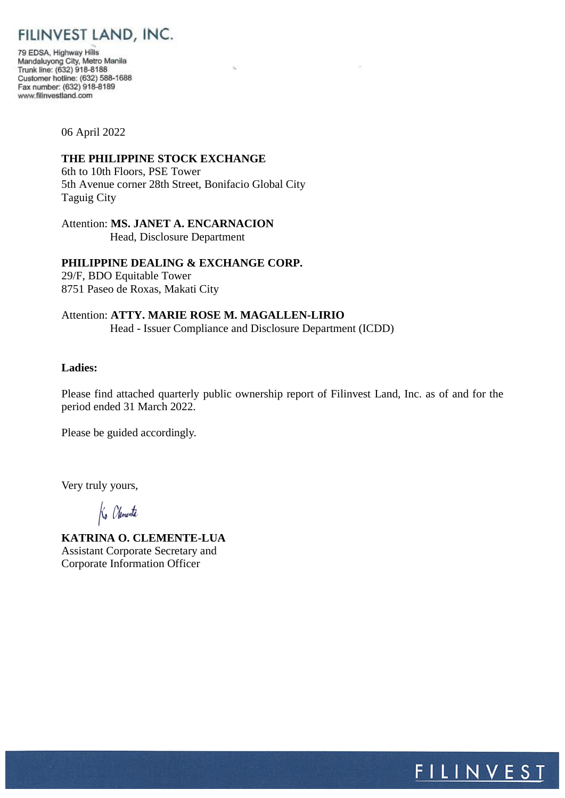# FILINVEST LAND, INC.

79 EDSA, Highway Hills Mandaluyong City, Metro Manila<br>Trunk line: (632) 918-8188 Customer hotline: (632) 588-1688 Fax number: (632) 918-8189 www.filinvestland.com

06 April 2022

## **THE PHILIPPINE STOCK EXCHANGE**

6th to 10th Floors, PSE Tower 5th Avenue corner 28th Street, Bonifacio Global City Taguig City

Attention: **MS. JANET A. ENCARNACION** Head, Disclosure Department

### **PHILIPPINE DEALING & EXCHANGE CORP.**

29/F, BDO Equitable Tower 8751 Paseo de Roxas, Makati City

## Attention: **ATTY. MARIE ROSE M. MAGALLEN-LIRIO** Head - Issuer Compliance and Disclosure Department (ICDD)

## **Ladies:**

Please find attached quarterly public ownership report of Filinvest Land, Inc. as of and for the period ended 31 March 2022.

Please be guided accordingly.

Very truly yours,

**KATRINA O. CLEMENTE-LUA** Assistant Corporate Secretary and Corporate Information Officer

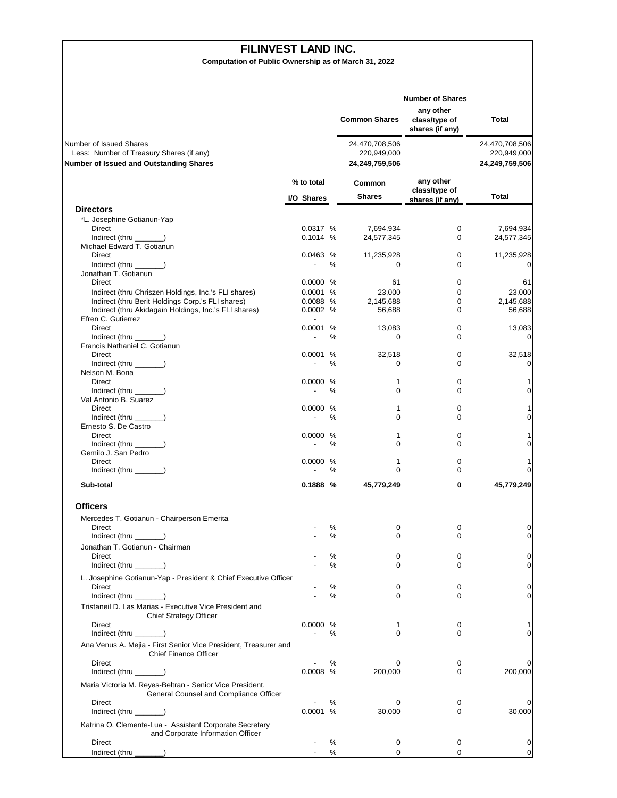#### **FILINVEST LAND INC.**

**Computation of Public Ownership as of March 31, 2022**

|                                                                                                                       |                                      |        | <b>Common Shares</b>                            | <b>Number of Shares</b><br>any other<br>class/type of<br>shares (if any) | Total                                           |
|-----------------------------------------------------------------------------------------------------------------------|--------------------------------------|--------|-------------------------------------------------|--------------------------------------------------------------------------|-------------------------------------------------|
| Number of Issued Shares<br>Less: Number of Treasury Shares (if any)<br><b>Number of Issued and Outstanding Shares</b> |                                      |        | 24,470,708,506<br>220,949,000<br>24,249,759,506 |                                                                          | 24,470,708,506<br>220,949,000<br>24,249,759,506 |
|                                                                                                                       | % to total<br>I/O Shares             |        | Common<br><b>Shares</b>                         | any other<br>class/type of<br>shares (if any)                            | Total                                           |
| <b>Directors</b>                                                                                                      |                                      |        |                                                 |                                                                          |                                                 |
| *L. Josephine Gotianun-Yap                                                                                            |                                      |        |                                                 |                                                                          |                                                 |
| Direct<br>Indirect (thru )                                                                                            | 0.0317 %                             |        | 7,694,934                                       | 0                                                                        | 7,694,934                                       |
| Michael Edward T. Gotianun                                                                                            | 0.1014 %                             |        | 24,577,345                                      | 0                                                                        | 24,577,345                                      |
| Direct                                                                                                                | 0.0463 %                             |        | 11,235,928                                      | 0                                                                        | 11,235,928                                      |
| $Indirect$ (thru $\qquad$ )                                                                                           | $\overline{\phantom{a}}$             | ℅      | 0                                               | 0                                                                        | 0                                               |
| Jonathan T. Gotianun                                                                                                  |                                      |        |                                                 |                                                                          |                                                 |
| Direct                                                                                                                | 0.0000 %                             |        | 61                                              | 0                                                                        | 61                                              |
| Indirect (thru Chriszen Holdings, Inc.'s FLI shares)                                                                  | 0.0001 %                             |        | 23,000                                          | 0                                                                        | 23,000                                          |
| Indirect (thru Berit Holdings Corp.'s FLI shares)                                                                     | 0.0088 %                             |        | 2,145,688                                       | 0                                                                        | 2,145,688                                       |
| Indirect (thru Akidagain Holdings, Inc.'s FLI shares)<br>Efren C. Gutierrez                                           | 0.0002 %<br>$\overline{\phantom{a}}$ |        | 56,688                                          | 0                                                                        | 56,688                                          |
| <b>Direct</b>                                                                                                         | 0.0001 %                             |        | 13,083                                          | 0                                                                        | 13,083                                          |
| Indirect (thru ______)                                                                                                |                                      | ℅      | 0                                               | 0                                                                        | $\mathbf 0$                                     |
| Francis Nathaniel C. Gotianun                                                                                         |                                      |        |                                                 |                                                                          |                                                 |
| Direct                                                                                                                | 0.0001                               | %      | 32,518                                          | 0                                                                        | 32,518                                          |
| Indirect (thru $\_\_\_\_\_\$ )                                                                                        | $\overline{\phantom{a}}$             | ℅      | 0                                               | $\Omega$                                                                 | 0                                               |
| Nelson M. Bona                                                                                                        |                                      |        |                                                 |                                                                          |                                                 |
| Direct<br>Indirect (thru ______)                                                                                      | 0.0000 %                             | $\%$   | 1<br>0                                          | 0<br>0                                                                   | 1<br>0                                          |
| Val Antonio B. Suarez                                                                                                 |                                      |        |                                                 |                                                                          |                                                 |
| Direct                                                                                                                | 0.0000 %                             |        | 1                                               | 0                                                                        | 1                                               |
| Indirect (thru ______)                                                                                                |                                      | ℅      | 0                                               | 0                                                                        | 0                                               |
| Ernesto S. De Castro                                                                                                  |                                      |        |                                                 |                                                                          |                                                 |
| Direct                                                                                                                | 0.0000 %                             |        | 1                                               | 0                                                                        | 1                                               |
| Indirect (thru ______)                                                                                                | $\overline{\phantom{a}}$             | ℅      | 0                                               | 0                                                                        | 0                                               |
| Gemilo J. San Pedro<br>Direct                                                                                         | 0.0000 %                             |        | 1                                               | 0                                                                        | 1                                               |
| Indirect (thru $\_\_\_\_\_\$ )                                                                                        |                                      | ℅      | $\Omega$                                        | 0                                                                        | 0                                               |
| Sub-total                                                                                                             | 0.1888%                              |        | 45,779,249                                      | 0                                                                        | 45,779,249                                      |
|                                                                                                                       |                                      |        |                                                 |                                                                          |                                                 |
| <b>Officers</b>                                                                                                       |                                      |        |                                                 |                                                                          |                                                 |
| Mercedes T. Gotianun - Chairperson Emerita                                                                            |                                      |        |                                                 |                                                                          |                                                 |
| Direct                                                                                                                |                                      | %      | 0                                               | 0                                                                        | 0<br>0                                          |
| Indirect (thru ___                                                                                                    |                                      | %      | $\mathbf 0$                                     | 0                                                                        |                                                 |
| Jonathan T. Gotianun - Chairman                                                                                       |                                      |        |                                                 |                                                                          | 0                                               |
| Direct<br>$Indirect$ (thru $\qquad$ )                                                                                 |                                      | %<br>% | 0<br>0                                          | 0<br>0                                                                   | 0                                               |
|                                                                                                                       |                                      |        |                                                 |                                                                          |                                                 |
| L. Josephine Gotianun-Yap - President & Chief Executive Officer<br>Direct                                             |                                      |        |                                                 |                                                                          | 0                                               |
| Indirect (thru ___                                                                                                    |                                      | ℅<br>% | 0<br>0                                          | 0<br>0                                                                   | 0                                               |
| Tristaneil D. Las Marias - Executive Vice President and                                                               |                                      |        |                                                 |                                                                          |                                                 |
| <b>Chief Strategy Officer</b>                                                                                         |                                      |        |                                                 |                                                                          |                                                 |
| Direct                                                                                                                | 0.0000 %                             |        | 1                                               | 0                                                                        | 1                                               |
| Indirect (thru $\_\_\_\_\_\$ )                                                                                        |                                      | %      | $\mathbf 0$                                     | 0                                                                        | 0                                               |
| Ana Venus A. Mejia - First Senior Vice President, Treasurer and<br><b>Chief Finance Officer</b>                       |                                      |        |                                                 |                                                                          |                                                 |
| Direct<br>Indirect (thru $\_\_\_\_\_\$ )                                                                              | $0.0008$ %                           | %      | 0<br>200,000                                    | 0<br>0                                                                   | 0<br>200,000                                    |
| Maria Victoria M. Reyes-Beltran - Senior Vice President,<br>General Counsel and Compliance Officer                    |                                      |        |                                                 |                                                                          |                                                 |
| Direct                                                                                                                |                                      | ℅      | 0                                               | 0                                                                        | 0                                               |
| Indirect (thru $\qquad \qquad$                                                                                        | 0.0001 %                             |        | 30,000                                          | 0                                                                        | 30,000                                          |
| Katrina O. Clemente-Lua - Assistant Corporate Secretary                                                               |                                      |        |                                                 |                                                                          |                                                 |
| and Corporate Information Officer                                                                                     |                                      |        |                                                 |                                                                          |                                                 |
| Direct                                                                                                                |                                      | %      | 0                                               | 0                                                                        | 0                                               |
| Indirect (thru<br>$\lambda$                                                                                           |                                      | %      | $\mathbf 0$                                     | 0                                                                        | 0                                               |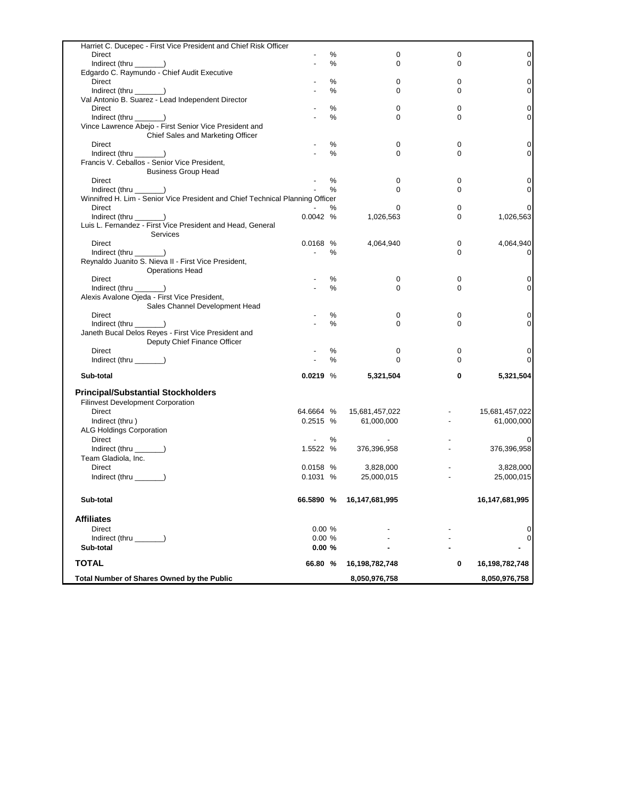| Harriet C. Ducepec - First Vice President and Chief Risk Officer              |                          |      |                |          |                |
|-------------------------------------------------------------------------------|--------------------------|------|----------------|----------|----------------|
| Direct                                                                        |                          | %    | 0              | 0        | 0              |
| Indirect (thru _______)                                                       |                          | $\%$ | 0              | 0        | $\mathbf 0$    |
| Edgardo C. Raymundo - Chief Audit Executive                                   |                          |      |                |          |                |
| Direct                                                                        |                          | $\%$ | 0              | 0        | 0              |
| Indirect (thru ______)                                                        |                          | %    | 0              | 0        | $\mathbf 0$    |
| Val Antonio B. Suarez - Lead Independent Director                             |                          |      |                |          |                |
| Direct                                                                        |                          | %    | 0              | 0        | 0              |
| Indirect (thru ______)                                                        |                          | $\%$ | 0              | 0        | 0              |
| Vince Lawrence Abejo - First Senior Vice President and                        |                          |      |                |          |                |
| Chief Sales and Marketing Officer                                             |                          |      |                |          |                |
| Direct                                                                        |                          | %    | 0              | 0        | 0              |
|                                                                               |                          | %    | 0              | 0        | 0              |
| Indirect (thru $\qquad$ )<br>Francis V. Ceballos - Senior Vice President,     |                          |      |                |          |                |
|                                                                               |                          |      |                |          |                |
| <b>Business Group Head</b>                                                    |                          |      |                |          |                |
| Direct                                                                        |                          | %    | 0              | 0        | 0              |
| Indirect (thru ______)                                                        |                          | %    | 0              | 0        | 0              |
| Winnifred H. Lim - Senior Vice President and Chief Technical Planning Officer |                          |      |                |          |                |
| Direct                                                                        |                          | ℅    | 0              | 0        | 0              |
| $Indirect$ (thru $\qquad$ )                                                   | 0.0042%                  |      | 1,026,563      | 0        | 1,026,563      |
| Luis L. Fernandez - First Vice President and Head, General                    |                          |      |                |          |                |
| Services                                                                      |                          |      |                |          |                |
| Direct                                                                        | $0.0168$ %               |      | 4,064,940      | 0        | 4,064,940      |
| Indirect (thru _______)                                                       | $\overline{\phantom{a}}$ | ℅    |                | $\Omega$ | 0              |
| Reynaldo Juanito S. Nieva II - First Vice President,                          |                          |      |                |          |                |
| <b>Operations Head</b>                                                        |                          |      |                |          |                |
| <b>Direct</b>                                                                 |                          | %    | 0              | 0        | 0              |
| Indirect (thru _______)                                                       |                          | %    | $\Omega$       | $\Omega$ | 0              |
| Alexis Avalone Ojeda - First Vice President,                                  |                          |      |                |          |                |
| Sales Channel Development Head                                                |                          |      |                |          |                |
| Direct                                                                        |                          | %    | 0              | 0        | 0              |
| Indirect (thru ______)                                                        |                          | %    | $\Omega$       | $\Omega$ | 0              |
| Janeth Bucal Delos Reyes - First Vice President and                           |                          |      |                |          |                |
| Deputy Chief Finance Officer                                                  |                          |      |                |          |                |
| Direct                                                                        |                          | %    | 0              | 0        | 0              |
| Indirect (thru _______)                                                       |                          | %    | $\Omega$       | $\Omega$ | $\Omega$       |
|                                                                               |                          |      |                |          |                |
| Sub-total                                                                     | 0.0219%                  |      | 5,321,504      | 0        | 5,321,504      |
| <b>Principal/Substantial Stockholders</b>                                     |                          |      |                |          |                |
| <b>Filinvest Development Corporation</b>                                      |                          |      |                |          |                |
| Direct                                                                        | 64.6664 %                |      |                |          | 15,681,457,022 |
|                                                                               | 0.2515 %                 |      | 15,681,457,022 |          |                |
| Indirect (thru)                                                               |                          |      | 61,000,000     |          | 61,000,000     |
| <b>ALG Holdings Corporation</b>                                               |                          |      |                |          |                |
| Direct                                                                        |                          | ℅    |                |          |                |
| Indirect (thru _______)                                                       | 1.5522 %                 |      | 376,396,958    |          | 376,396,958    |
| Team Gladiola, Inc.                                                           |                          |      |                |          |                |
| Direct                                                                        | 0.0158 %                 |      | 3,828,000      |          | 3,828,000      |
| Indirect (thru $\_\_\_\_\_\$ )                                                | 0.1031%                  |      | 25,000,015     |          | 25,000,015     |
|                                                                               |                          |      |                |          |                |
| Sub-total                                                                     | 66.5890 %                |      | 16,147,681,995 |          | 16,147,681,995 |
| <b>Affiliates</b>                                                             |                          |      |                |          |                |
| <b>Direct</b>                                                                 | 0.00%                    |      |                |          | 0              |
| Indirect (thru _______)                                                       | 0.00%                    |      |                |          | $\mathbf 0$    |
| Sub-total                                                                     | 0.00%                    |      |                |          |                |
| <b>TOTAL</b>                                                                  | 66.80 %                  |      | 16,198,782,748 | 0        | 16,198,782,748 |
|                                                                               |                          |      |                |          |                |
| <b>Total Number of Shares Owned by the Public</b>                             |                          |      | 8,050,976,758  |          | 8,050,976,758  |